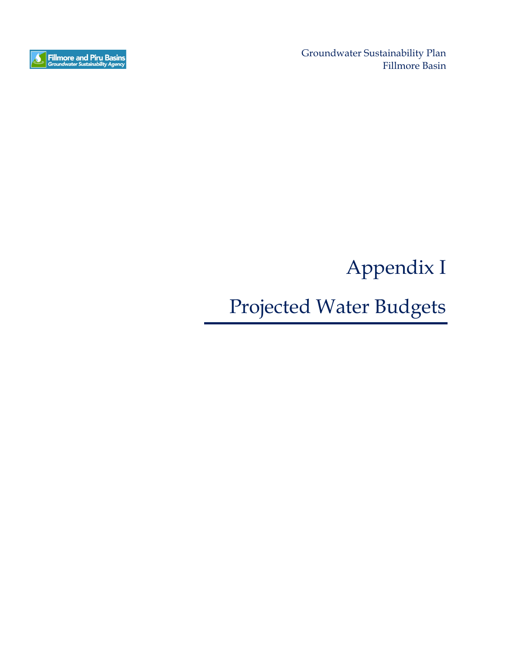

Groundwater Sustainability Plan Fillmore Basin

Appendix I

Projected Water Budgets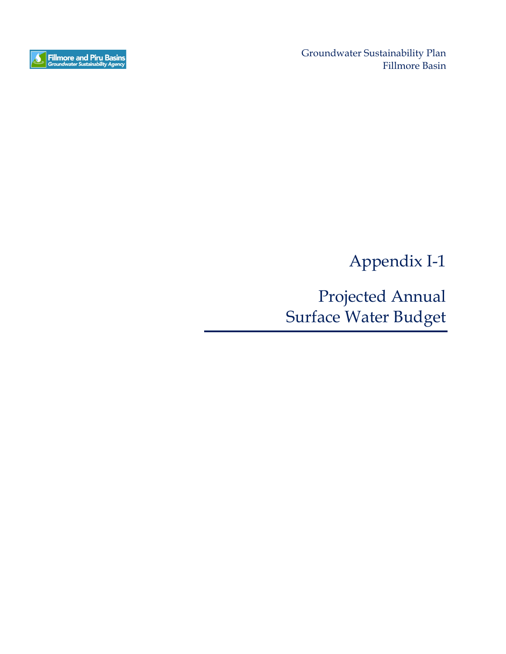

Groundwater Sustainability Plan Fillmore Basin

Appendix I-1

Projected Annual Surface Water Budget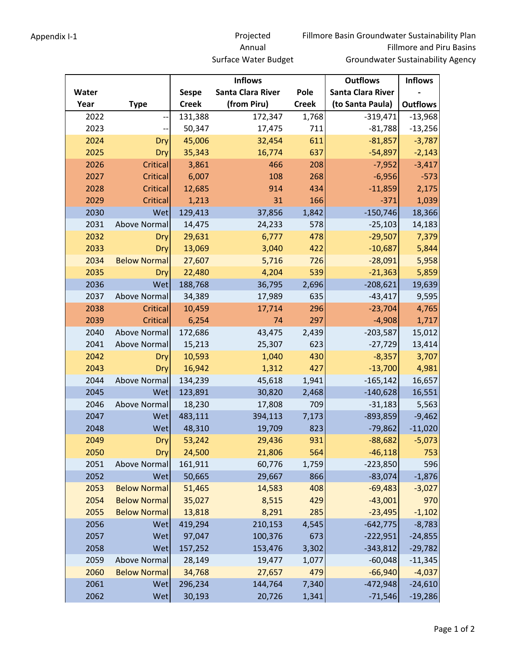## Appendix I-1 Projected Annual Surface Water Budget

|       |                     |              | <b>Inflows</b>    |              | <b>Outflows</b>          | <b>Inflows</b>  |
|-------|---------------------|--------------|-------------------|--------------|--------------------------|-----------------|
| Water |                     | <b>Sespe</b> | Santa Clara River | Pole         | <b>Santa Clara River</b> |                 |
| Year  | <b>Type</b>         | <b>Creek</b> | (from Piru)       | <b>Creek</b> | (to Santa Paula)         | <b>Outflows</b> |
| 2022  |                     | 131,388      | 172,347           | 1,768        | $-319,471$               | $-13,968$       |
| 2023  |                     | 50,347       | 17,475            | 711          | $-81,788$                | $-13,256$       |
| 2024  | Dry                 | 45,006       | 32,454            | 611          | $-81,857$                | $-3,787$        |
| 2025  | Dry                 | 35,343       | 16,774            | 637          | $-54,897$                | $-2,143$        |
| 2026  | Critical            | 3,861        | 466               | 208          | $-7,952$                 | $-3,417$        |
| 2027  | Critical            | 6,007        | 108               | 268          | $-6,956$                 | $-573$          |
| 2028  | Critical            | 12,685       | 914               | 434          | $-11,859$                | 2,175           |
| 2029  | <b>Critical</b>     | 1,213        | 31                | 166          | $-371$                   | 1,039           |
| 2030  | Wet                 | 129,413      | 37,856            | 1,842        | $-150,746$               | 18,366          |
| 2031  | Above Normal        | 14,475       | 24,233            | 578          | $-25,103$                | 14,183          |
| 2032  | Dry                 | 29,631       | 6,777             | 478          | $-29,507$                | 7,379           |
| 2033  | Dry                 | 13,069       | 3,040             | 422          | $-10,687$                | 5,844           |
| 2034  | <b>Below Normal</b> | 27,607       | 5,716             | 726          | $-28,091$                | 5,958           |
| 2035  | Dry                 | 22,480       | 4,204             | 539          | $-21,363$                | 5,859           |
| 2036  | Wet                 | 188,768      | 36,795            | 2,696        | $-208,621$               | 19,639          |
| 2037  | Above Normal        | 34,389       | 17,989            | 635          | $-43,417$                | 9,595           |
| 2038  | <b>Critical</b>     | 10,459       | 17,714            | 296          | $-23,704$                | 4,765           |
| 2039  | Critical            | 6,254        | 74                | 297          | $-4,908$                 | 1,717           |
| 2040  | Above Normal        | 172,686      | 43,475            | 2,439        | $-203,587$               | 15,012          |
| 2041  | Above Normal        | 15,213       | 25,307            | 623          | $-27,729$                | 13,414          |
| 2042  | Dry                 | 10,593       | 1,040             | 430          | $-8,357$                 | 3,707           |
| 2043  | Dry                 | 16,942       | 1,312             | 427          | $-13,700$                | 4,981           |
| 2044  | Above Normal        | 134,239      | 45,618            | 1,941        | $-165,142$               | 16,657          |
| 2045  | Wet                 | 123,891      | 30,820            | 2,468        | $-140,628$               | 16,551          |
| 2046  | Above Normal        | 18,230       | 17,808            | 709          | $-31,183$                | 5,563           |
| 2047  | Wet                 | 483,111      | 394,113           | 7,173        | $-893,859$               | $-9,462$        |
| 2048  | Wet                 | 48,310       | 19,709            | 823          | $-79,862$                | $-11,020$       |
| 2049  | Dry                 | 53,242       | 29,436            | 931          | $-88,682$                | $-5,073$        |
| 2050  | Dry                 | 24,500       | 21,806            | 564          | $-46,118$                | 753             |
| 2051  | Above Normal        | 161,911      | 60,776            | 1,759        | $-223,850$               | 596             |
| 2052  | Wet                 | 50,665       | 29,667            | 866          | $-83,074$                | $-1,876$        |
| 2053  | <b>Below Normal</b> | 51,465       | 14,583            | 408          | $-69,483$                | $-3,027$        |
| 2054  | <b>Below Normal</b> | 35,027       | 8,515             | 429          | $-43,001$                | 970             |
| 2055  | <b>Below Normal</b> | 13,818       | 8,291             | 285          | $-23,495$                | $-1,102$        |
| 2056  | Wet                 | 419,294      | 210,153           | 4,545        | $-642,775$               | $-8,783$        |
| 2057  | Wet                 | 97,047       | 100,376           | 673          | $-222,951$               | $-24,855$       |
| 2058  | Wet                 | 157,252      | 153,476           | 3,302        | $-343,812$               | $-29,782$       |
| 2059  | Above Normal        | 28,149       | 19,477            | 1,077        | $-60,048$                | $-11,345$       |
| 2060  | <b>Below Normal</b> | 34,768       | 27,657            | 479          | $-66,940$                | $-4,037$        |
| 2061  | <b>Wet</b>          | 296,234      | 144,764           | 7,340        | $-472,948$               | $-24,610$       |
| 2062  | Wet                 | 30,193       | 20,726            | 1,341        | $-71,546$                | $-19,286$       |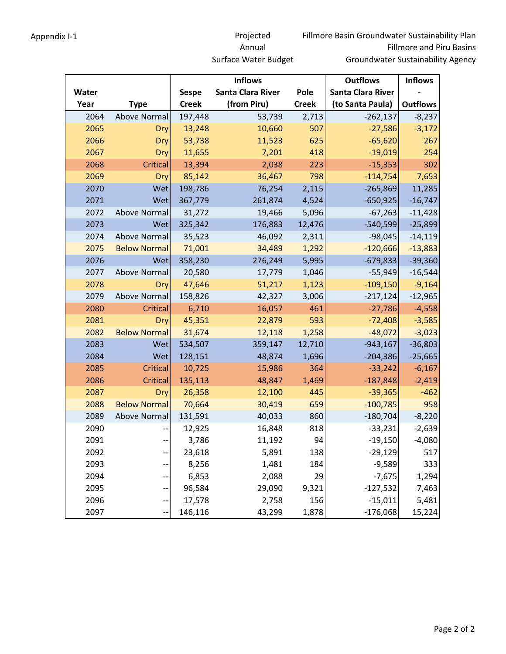## Appendix I-1 Projected Annual Surface Water Budget

|       |                     |              | <b>Inflows</b>    |              | <b>Outflows</b>          | <b>Inflows</b>  |
|-------|---------------------|--------------|-------------------|--------------|--------------------------|-----------------|
| Water |                     | <b>Sespe</b> | Santa Clara River | Pole         | <b>Santa Clara River</b> |                 |
| Year  | <b>Type</b>         | <b>Creek</b> | (from Piru)       | <b>Creek</b> | (to Santa Paula)         | <b>Outflows</b> |
| 2064  | <b>Above Normal</b> | 197,448      | 53,739            | 2,713        | $-262,137$               | $-8,237$        |
| 2065  | Dry                 | 13,248       | 10,660            | 507          | $-27,586$                | $-3,172$        |
| 2066  | Dry                 | 53,738       | 11,523            | 625          | $-65,620$                | 267             |
| 2067  | Dry                 | 11,655       | 7,201             | 418          | $-19,019$                | 254             |
| 2068  | <b>Critical</b>     | 13,394       | 2,038             | 223          | $-15,353$                | 302             |
| 2069  | Dry                 | 85,142       | 36,467            | 798          | $-114,754$               | 7,653           |
| 2070  | Wet                 | 198,786      | 76,254            | 2,115        | $-265,869$               | 11,285          |
| 2071  | Wet                 | 367,779      | 261,874           | 4,524        | $-650,925$               | $-16,747$       |
| 2072  | Above Normal        | 31,272       | 19,466            | 5,096        | $-67,263$                | $-11,428$       |
| 2073  | Wet                 | 325,342      | 176,883           | 12,476       | $-540,599$               | $-25,899$       |
| 2074  | Above Normal        | 35,523       | 46,092            | 2,311        | $-98,045$                | $-14,119$       |
| 2075  | <b>Below Normal</b> | 71,001       | 34,489            | 1,292        | $-120,666$               | $-13,883$       |
| 2076  | Wet                 | 358,230      | 276,249           | 5,995        | $-679,833$               | $-39,360$       |
| 2077  | Above Normal        | 20,580       | 17,779            | 1,046        | $-55,949$                | $-16,544$       |
| 2078  | Dry                 | 47,646       | 51,217            | 1,123        | $-109,150$               | $-9,164$        |
| 2079  | <b>Above Normal</b> | 158,826      | 42,327            | 3,006        | $-217,124$               | $-12,965$       |
| 2080  | Critical            | 6,710        | 16,057            | 461          | $-27,786$                | $-4,558$        |
| 2081  | Dry                 | 45,351       | 22,879            | 593          | $-72,408$                | $-3,585$        |
| 2082  | <b>Below Normal</b> | 31,674       | 12,118            | 1,258        | $-48,072$                | $-3,023$        |
| 2083  | Wet                 | 534,507      | 359,147           | 12,710       | $-943,167$               | $-36,803$       |
| 2084  | Wet                 | 128,151      | 48,874            | 1,696        | $-204,386$               | $-25,665$       |
| 2085  | Critical            | 10,725       | 15,986            | 364          | $-33,242$                | $-6,167$        |
| 2086  | <b>Critical</b>     | 135,113      | 48,847            | 1,469        | $-187,848$               | $-2,419$        |
| 2087  | Dry                 | 26,358       | 12,100            | 445          | $-39,365$                | $-462$          |
| 2088  | <b>Below Normal</b> | 70,664       | 30,419            | 659          | $-100,785$               | 958             |
| 2089  | Above Normal        | 131,591      | 40,033            | 860          | $-180,704$               | $-8,220$        |
| 2090  |                     | 12,925       | 16,848            | 818          | $-33,231$                | $-2,639$        |
| 2091  |                     | 3,786        | 11,192            | 94           | $-19,150$                | $-4,080$        |
| 2092  |                     | 23,618       | 5,891             | 138          | $-29,129$                | 517             |
| 2093  |                     | 8,256        | 1,481             | 184          | $-9,589$                 | 333             |
| 2094  |                     | 6,853        | 2,088             | 29           | $-7,675$                 | 1,294           |
| 2095  |                     | 96,584       | 29,090            | 9,321        | $-127,532$               | 7,463           |
| 2096  | --                  | 17,578       | 2,758             | 156          | $-15,011$                | 5,481           |
| 2097  |                     | 146,116      | 43,299            | 1,878        | $-176,068$               | 15,224          |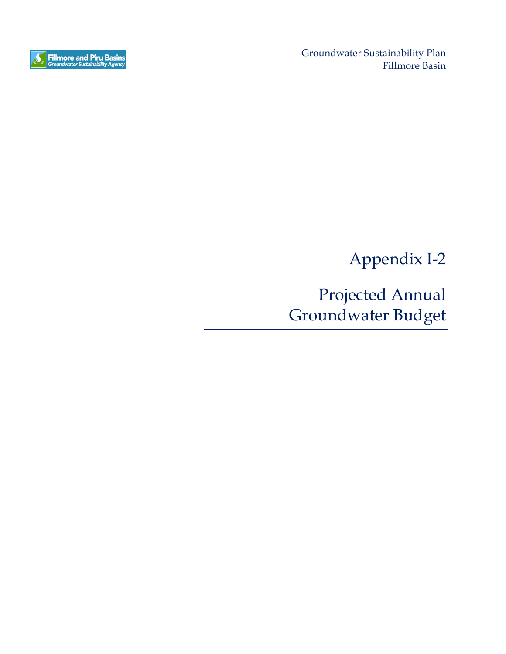

Groundwater Sustainability Plan Fillmore Basin

Appendix I-2

Projected Annual Groundwater Budget